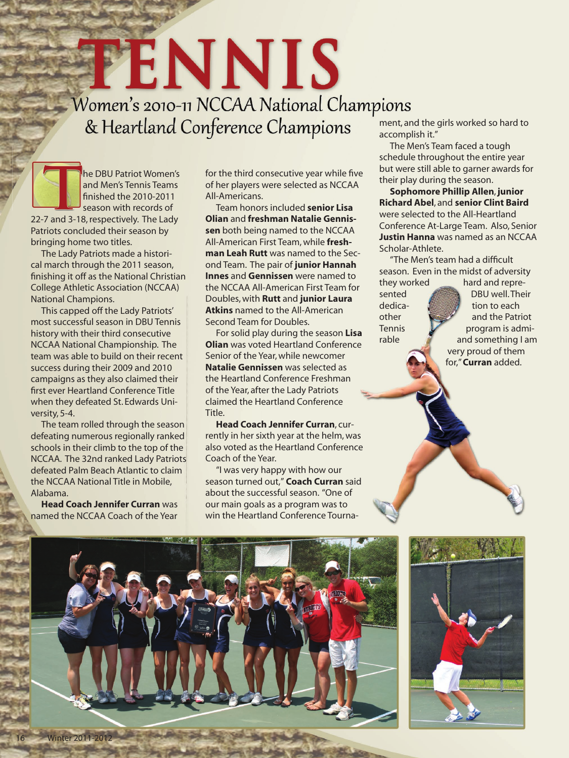## TENNIS Women's 2010-11 NCCAA National Champions & Heartland Conference Champions

he DBU Patriot Women's and Men's Tennis Teams finished the 2010-2011 season with records of 22-7 and 3-18, respectively. The Lady Patriots concluded their season by

bringing home two titles. The Lady Patriots made a historical march through the 2011 season, finishing it off as the National Christian College Athletic Association (NCCAA) National Champions.

This capped off the Lady Patriots' most successful season in DBU Tennis history with their third consecutive NCCAA National Championship. The team was able to build on their recent success during their 2009 and 2010 campaigns as they also claimed their first ever Heartland Conference Title when they defeated St. Edwards University, 5-4.

The team rolled through the season defeating numerous regionally ranked schools in their climb to the top of the NCCAA. The 32nd ranked Lady Patriots defeated Palm Beach Atlantic to claim the NCCAA National Title in Mobile, Alabama.

**Head Coach Jennifer Curran** was named the NCCAA Coach of the Year

for the third consecutive year while five of her players were selected as NCCAA All-Americans.

Team honors included **senior Lisa Olian** and **freshman Natalie Gennissen** both being named to the NCCAA All-American First Team, while **freshman Leah Rutt** was named to the Second Team. The pair of **junior Hannah Innes** and **Gennissen** were named to the NCCAA All-American First Team for Doubles, with **Rutt** and **junior Laura Atkins** named to the All-American Second Team for Doubles.

For solid play during the season **Lisa Olian** was voted Heartland Conference Senior of the Year, while newcomer **Natalie Gennissen** was selected as the Heartland Conference Freshman of the Year, after the Lady Patriots claimed the Heartland Conference Title.

**Head Coach Jennifer Curran**, currently in her sixth year at the helm, was also voted as the Heartland Conference Coach of the Year.

"I was very happy with how our season turned out," **Coach Curran** said about the successful season. "One of our main goals as a program was to win the Heartland Conference Tournament, and the girls worked so hard to accomplish it."

The Men's Team faced a tough schedule throughout the entire year but were still able to garner awards for their play during the season.

**Sophomore Phillip Allen**, **junior Richard Abel**, and **senior Clint Baird**  were selected to the All-Heartland Conference At-Large Team. Also, Senior **Justin Hanna** was named as an NCCAA Scholar-Athlete.

"The Men's team had a difficult season. Even in the midst of adversity they worked hard and repre-

sented **DBU** well. Their dedica- **the set of the set of the set of the set of the set of the set of the set of the set of the set of the s** other **William and the Patriot**  $T$ ennis  $\mathcal{V}$  program is admirable  $\mathbb{Z}$  and something I am very proud of them for," **Curran** added.